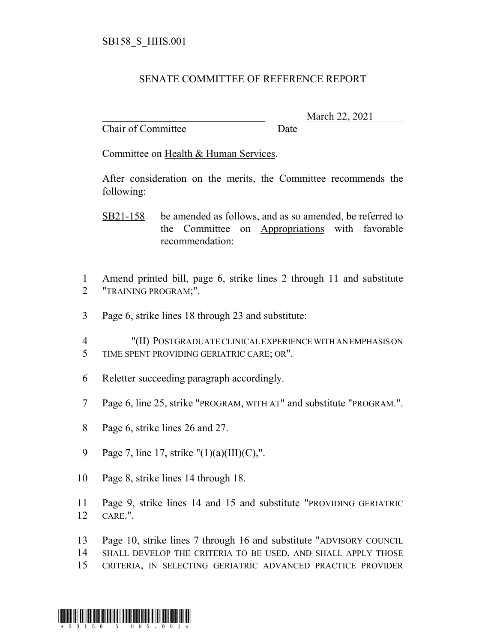## SENATE COMMITTEE OF REFERENCE REPORT

Chair of Committee Date

\_\_\_\_\_\_\_\_\_\_\_\_\_\_\_\_\_\_\_\_\_\_\_\_\_\_\_\_\_\_\_ March 22, 2021

Committee on Health & Human Services.

After consideration on the merits, the Committee recommends the following:

- SB21-158 be amended as follows, and as so amended, be referred to the Committee on Appropriations with favorable recommendation:
- 1 Amend printed bill, page 6, strike lines 2 through 11 and substitute 2 "TRAINING PROGRAM;".
- 3 Page 6, strike lines 18 through 23 and substitute:
- 4 "(II) POSTGRADUATE CLINICAL EXPERIENCE WITH AN EMPHASIS ON 5 TIME SPENT PROVIDING GERIATRIC CARE; OR".
- 6 Reletter succeeding paragraph accordingly.
- 7 Page 6, line 25, strike "PROGRAM, WITH AT" and substitute "PROGRAM.".
- 8 Page 6, strike lines 26 and 27.
- 9 Page 7, line 17, strike "(1)(a)(III)(C),".
- 10 Page 8, strike lines 14 through 18.
- 11 Page 9, strike lines 14 and 15 and substitute "PROVIDING GERIATRIC 12 CARE.".
- 13 Page 10, strike lines 7 through 16 and substitute "ADVISORY COUNCIL
- 14 SHALL DEVELOP THE CRITERIA TO BE USED, AND SHALL APPLY THOSE
- 15 CRITERIA, IN SELECTING GERIATRIC ADVANCED PRACTICE PROVIDER